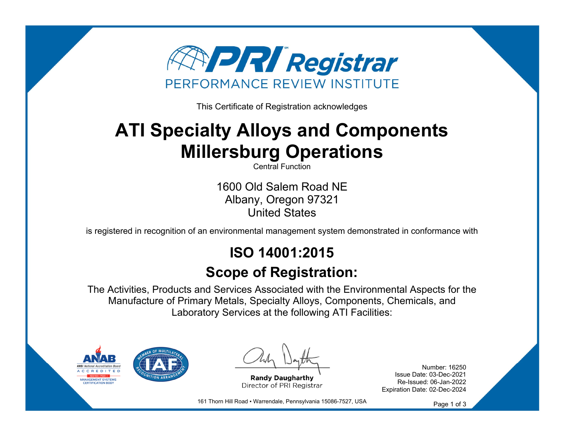

This Certificate of Registration acknowledges

# **ATI Specialty Alloys and Components Millersburg Operations**

Central Function

1600 Old Salem Road NE Albany, Oregon 97321 United States

is registered in recognition of an environmental management system demonstrated in conformance with

## **ISO 14001:2015**

### **Scope of Registration:**

The Activities, Products and Services Associated with the Environmental Aspects for the Manufacture of Primary Metals, Specialty Alloys, Components, Chemicals, and Laboratory Services at the following ATI Facilities:



**Randy Daugharthy** Director of PRI Registrar

Number: 16250 Issue Date: 03-Dec-2021 Re-Issued: 06-Jan-2022 Expiration Date: 02-Dec-2024

161 Thorn Hill Road · Warrendale, Pennsylvania 15086-7527, USA

Page 1 of 3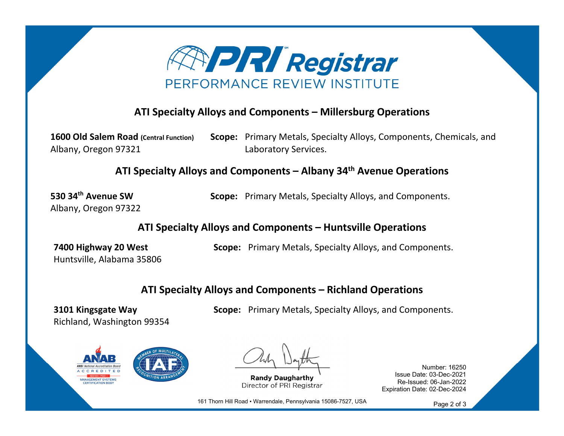

#### **ATI Specialty Alloys and Components – Millersburg Operations**

**1600 Old Salem Road (Central Function)** Albany, Oregon 97321 **Scope:** Primary Metals, Specialty Alloys, Components, Chemicals, and Laboratory Services.

**ATI Specialty Alloys and Components – Albany 34th Avenue Operations**

**530 34th Avenue SW**Albany, Oregon 97322 **Scope:** Primary Metals, Specialty Alloys, and Components.

**ATI Specialty Alloys and Components – Huntsville Operations**

**7400 Highway 20 West** Huntsville, Alabama 35806 **Scope:** Primary Metals, Specialty Alloys, and Components.

**Scope:** Primary Metals, Specialty Alloys, and Components.

#### **ATI Specialty Alloys and Components – Richland Operations**

**3101 Kingsgate Way** Richland, Washington 99354

**JANAGEMENT SYSTEMS** 

**Randy Daugharthy** Director of PRI Registrar

Number: 16250 Issue Date: 03-Dec-2021 Re-Issued: 06-Jan-2022 Expiration Date: 02-Dec-2024

161 Thorn Hill Road ▪ Warrendale, Pennsylvania 15086-7527, USA

Page 2 of 3